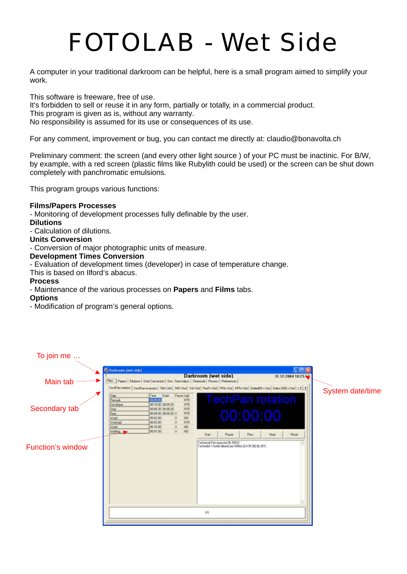# *FOTOLAB - Wet Side*

A computer in your traditional darkroom can be helpful, here is a small program aimed to simplify your work.

This software is freeware, free of use. It's forbidden to sell or reuse it in any form, partially or totally, in a commercial product. This program is given as is, without any warranty. No responsibility is assumed for its use or consequences of its use.

For any comment, improvement or bug, you can contact me directly at: claudio@bonavolta.ch

Preliminary comment: the screen (and every other light source ) of your PC must be inactinic. For B/W, by example, with a red screen (plastic films like Rubylith could be used) or the screen can be shut down completely with panchromatic emulsions.

This program groups various functions:

### **Films/Papers Processes**

- Monitoring of development processes fully definable by the user.

### **Dilutions**

- Calculation of dilutions.

#### **Units Conversion**

- Conversion of major photographic units of measure.

### **Development Times Conversion**

- Evaluation of development times (developer) in case of temperature change.

This is based on Ilford's abacus.

### **Process**

- Maintenance of the various processes on **Papers** and **Films** tabs.

#### **Options**

- Modification of program's general options.

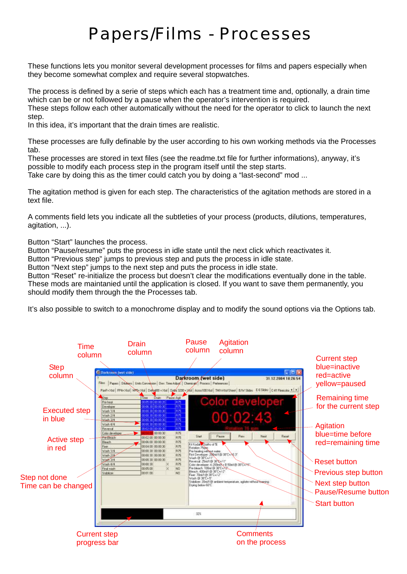### *Papers/Films - Processes*

These functions lets you monitor several development processes for films and papers especially when they become somewhat complex and require several stopwatches.

The process is defined by a serie of steps which each has a treatment time and, optionally, a drain time which can be or not followed by a pause when the operator's intervention is required.

These steps follow each other automatically without the need for the operator to click to launch the next step.

In this idea, it's important that the drain times are realistic.

These processes are fully definable by the user according to his own working methods via the Processes tab.

These processes are stored in text files (see the readme.txt file for further informations), anyway, it's possible to modify each process step in the program itself until the step starts.

Take care by doing this as the timer could catch you by doing a "last-second" mod ...

The agitation method is given for each step. The characteristics of the agitation methods are stored in a text file.

A comments field lets you indicate all the subtleties of your process (products, dilutions, temperatures, agitation, ...).

Button "Start" launches the process.

Button "Pause/resume" puts the process in idle state until the next click which reactivates it.

Button "Previous step" jumps to previous step and puts the process in idle state.

Button "Next step" jumps to the next step and puts the process in idle state.

Button "Reset" re-initialize the process but doesn't clear the modifications eventually done in the table. These mods are maintanied until the application is closed. If you want to save them permanently, you should modify them through the the Processes tab.

It's also possible to switch to a monochrome display and to modify the sound options via the Options tab.

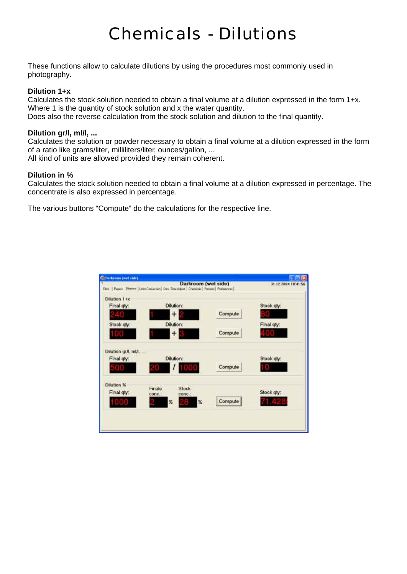## *Chemicals - Dilutions*

These functions allow to calculate dilutions by using the procedures most commonly used in photography.

### **Dilution 1+x**

Calculates the stock solution needed to obtain a final volume at a dilution expressed in the form 1+x. Where 1 is the quantity of stock solution and x the water quantity.

Does also the reverse calculation from the stock solution and dilution to the final quantity.

### **Dilution gr/l, ml/l, ...**

Calculates the solution or powder necessary to obtain a final volume at a dilution expressed in the form of a ratio like grams/liter, milliliters/liter, ounces/gallon, ...

All kind of units are allowed provided they remain coherent.

### **Dilution in %**

Calculates the stock solution needed to obtain a final volume at a dilution expressed in percentage. The concentrate is also expressed in percentage.

The various buttons "Compute" do the calculations for the respective line.

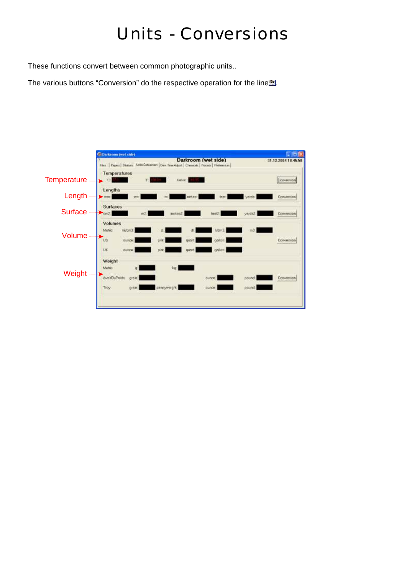### *Units - Conversions*

These functions convert between common photographic units..

The various buttons "Conversion" do the respective operation for the line...

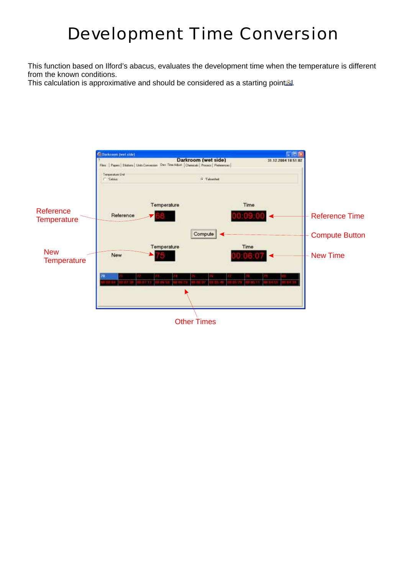### *Development Time Conversion*

This function based on Ilford's abacus, evaluates the development time when the temperature is different from the known conditions.

This calculation is approximative and should be considered as a starting point.

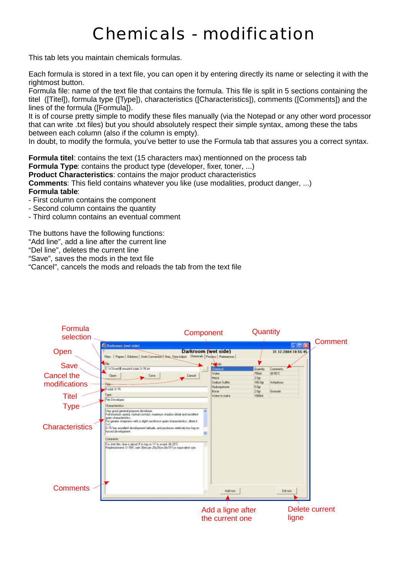## *Chemicals - modification*

This tab lets you maintain chemicals formulas.

Each formula is stored in a text file, you can open it by entering directly its name or selecting it with the rightmost button.

Formula file: name of the text file that contains the formula. This file is split in 5 sections containing the titel ([Titel]), formula type ([Type]), characteristics ([Characteristics]), comments ([Comments]) and the lines of the formula ([Formula]).

It is of course pretty simple to modify these files manually (via the Notepad or any other word processor that can write .txt files) but you should absolutely respect their simple syntax, among these the tabs between each column (also if the column is empty).

In doubt, to modify the formula, you've better to use the Formula tab that assures you a correct syntax.

**Formula titel**: contains the text (15 characters max) mentionned on the process tab **Formula Type:** contains the product type (developer, fixer, toner, ...) **Product Characteristics**: contains the major product characteristics **Comments**: This field contains whatever you like (use modalities, product danger, ...) **Formula table**:

- First column contains the component

- Second column contains the quantity
- Third column contains an eventual comment

The buttons have the following functions:

"Add line", add a line after the current line

"Del line", deletes the current line

"Save", saves the mods in the text file

"Cancel", cancels the mods and reloads the tab from the text file

| Formula<br>selection                  |                                                                                                                                                                                                                                                                                                                                                                                                                                                                                                                      | Component                                                              | Quantity                            |                               | <b>Comment</b> |
|---------------------------------------|----------------------------------------------------------------------------------------------------------------------------------------------------------------------------------------------------------------------------------------------------------------------------------------------------------------------------------------------------------------------------------------------------------------------------------------------------------------------------------------------------------------------|------------------------------------------------------------------------|-------------------------------------|-------------------------------|----------------|
| Open                                  | <b>C.</b> Darkinson Heart side<br>Films   Pagess   Dilutions   Units Conversion - Sea: Time Adjust Diemonds   Process   Producerosi                                                                                                                                                                                                                                                                                                                                                                                  | Darkroom (wet side)                                                    |                                     | $-10x$<br>31.12.2004 18:55:45 |                |
| Save                                  | C.W3\wetVironwie/Kodak D-76 td                                                                                                                                                                                                                                                                                                                                                                                                                                                                                       | <b>Computer</b><br>heraca                                              | <b>Quantity</b>                     | Comment:                      |                |
| Cancel the                            | Opin<br><b>Says</b><br>Cancel                                                                                                                                                                                                                                                                                                                                                                                                                                                                                        | Water<br>Metol                                                         | 750ml<br>20p                        | @9IT                          |                |
| modifications                         | Kodak D-76                                                                                                                                                                                                                                                                                                                                                                                                                                                                                                           | Sodum Suite<br>Hydrogumonie<br><b>Borne</b>                            | 100 Dot<br>5.0 <sub>27</sub><br>20p | Anhedrous<br>Granulas         |                |
| <b>Titel</b>                          | Type<br>Film Developer                                                                                                                                                                                                                                                                                                                                                                                                                                                                                               | Water to rusker                                                        | 1000ml                              |                               |                |
| <b>Type</b><br><b>Characteristics</b> | Characteristics<br>Very good general purpose developer.<br>Full envision speed, normal contrast, maximum ilhedow detail and excellent<br>man characterizics<br>or geater chargees with a right sacrifice in grain characteristics, dilute it<br>D-76 has excellent development latitude, and produces relatively low rog on<br>forced development.<br><b>Conneras</b><br>For shet film, time is about 9' in tray or 11' in a tank 69-2012.<br>Replenishment D-76R, rate 30nl per 20x25cm Blx10°) or equivalent cips. |                                                                        |                                     |                               |                |
| <b>Comments</b>                       |                                                                                                                                                                                                                                                                                                                                                                                                                                                                                                                      | Add ross                                                               |                                     | Del low                       |                |
|                                       |                                                                                                                                                                                                                                                                                                                                                                                                                                                                                                                      | <b>Delete current</b><br>Add a ligne after<br>the current one<br>ligne |                                     |                               |                |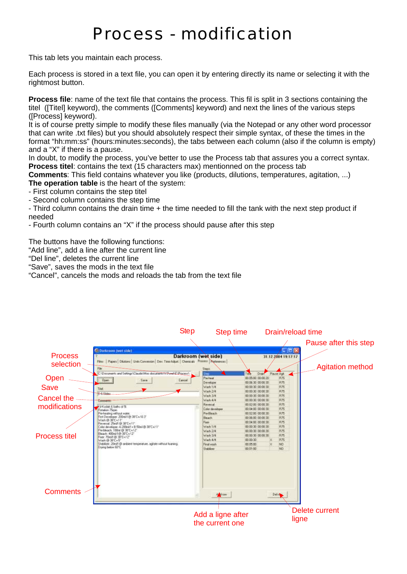### *Process - modification*

This tab lets you maintain each process.

Each process is stored in a text file, you can open it by entering directly its name or selecting it with the rightmost button.

**Process file**: name of the text file that contains the process. This fil is split in 3 sections containing the titel ([Titel] keyword), the comments ([Comments] keyword) and next the lines of the various steps ([Process] keyword).

It is of course pretty simple to modify these files manually (via the Notepad or any other word processor that can write .txt files) but you should absolutely respect their simple syntax, of these the times in the format "hh:mm:ss" (hours:minutes:seconds), the tabs between each column (also if the column is empty) and a "X" if there is a pause.

In doubt, to modify the process, you've better to use the Process tab that assures you a correct syntax. **Process titel**: contains the text (15 characters max) mentionned on the process tab

**Comments**: This field contains whatever you like (products, dilutions, temperatures, agitation, ...) **The operation table** is the heart of the system:

- First column contains the step titel

- Second column contains the step time

- Third column contains the drain time + the time needed to fill the tank with the next step product if needed

- Fourth column contains an "X" if the process should pause after this step

The buttons have the following functions:

"Add line", add a line after the current line

"Del line", deletes the current line

"Save", saves the mods in the text file

"Cancel", cancels the mods and reloads the tab from the text file

|                                                                  | <b>Step</b>                                                                                                                                                                                                                                                                        | Step time                                                                                                      |                                                                                                                                                                                                                                          | Drain/reload time       |
|------------------------------------------------------------------|------------------------------------------------------------------------------------------------------------------------------------------------------------------------------------------------------------------------------------------------------------------------------------|----------------------------------------------------------------------------------------------------------------|------------------------------------------------------------------------------------------------------------------------------------------------------------------------------------------------------------------------------------------|-------------------------|
|                                                                  |                                                                                                                                                                                                                                                                                    |                                                                                                                |                                                                                                                                                                                                                                          | Pause after this step   |
| <b>Process</b><br>selection<br>Open<br><b>Save</b><br>Cancel the | <b>C Darkroom (wet side)</b><br>Darkroom (wet side)<br>Films   Papers   Dilutions   Units Convension   Dev. Time Adjust.   Cherscalt Process   Nationwood  <br>C/Documents and Settings/Claudio/Max documents/W3 over-E/Essensylv<br><b>Open</b><br><b>Save</b><br>Cancel<br>Tiret | Sleep<br>946<br>Pre-heat<br>Developer<br>Waith 1/4<br>Wash 2M<br>Wach 3/4                                      | $\Box$ n $\mathbf{X}$<br>31.12.2004 19:17:17<br>Paule Agh<br><b>Dirakt</b><br>Time.<br>00 05:00 00:00 20<br><b>A75</b><br>00:06:30 00:00:30<br>日間<br>岩隠<br>00 00:30 00:00:30<br>日西<br>00:00:30 00:00:30<br>月25<br>00:00:30 00:00:30      | <b>Agitation method</b> |
| modifications                                                    | Ka Kodak 6 bahu of St<br>Flatation 75mm<br>Pierheding vithout water.<br>First Developer, 200ml/l @ 38°C+/413"<br>Wash @ 38'C+/-1"<br>Telescoal 25mM @ 30°C+/-5".<br>Color developer: A 200mM + B:50ml @ 38°C+/-1"<br>Pre-bleach: 100nd @ 38'C+A2"                                  | Wach 4/4<br>Reversel<br>Calor developer<br><b>Pie Bleach</b><br><b>Blauch</b><br>Firm<br>Waifi 1/4<br>Wash 2/4 | 875<br>00:00:30 00:00:30<br>自然<br>00:02:00 00:00:30<br>875<br>00 04:00 00:00 30<br>87<br>00 02:00 00:00:30<br>宮西<br>0010600.0000200<br><b>R75</b><br>00.04.08 00.00.30<br>直西<br>00:00:00 00:00:00<br>R <sup>左</sup><br>00 00 30 00 00 30 |                         |
| <b>Process titel</b>                                             | Bleach: 400nM @ 38°C+/2"<br>Floor: 70ml/l @.30'C+/-2"<br>Wash @ 38'C+S*<br>Stabilizer. 20mill 63 ambient temperature, agitate without foaming.<br>Creang ballow EDTL                                                                                                               | Wash 3/4<br>Warh 4/4<br>Final wash<br>Stabilizer                                                               | 月間<br>00:00:30 00:00:30<br>00 00 30<br>X.<br><b>R75</b><br>00.05.00<br>NO<br>00.01:00<br>NO                                                                                                                                              |                         |
| <b>Comments</b>                                                  |                                                                                                                                                                                                                                                                                    | direct.                                                                                                        | Defre                                                                                                                                                                                                                                    |                         |
|                                                                  |                                                                                                                                                                                                                                                                                    | Add a ligne after<br>the current one                                                                           |                                                                                                                                                                                                                                          | Delete current<br>ligne |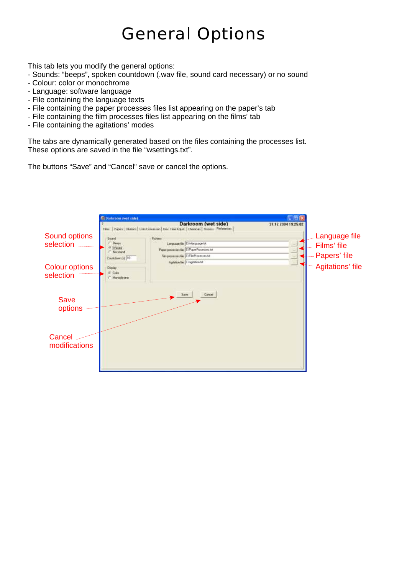### *General Options*

This tab lets you modify the general options:

- Sounds: "beeps", spoken countdown (.wav file, sound card necessary) or no sound
- Colour: color or monochrome
- Language: software language
- File containing the language texts
- File containing the paper processes files list appearing on the paper's tab
- File containing the film processes files list appearing on the films' tab
- File containing the agitations' modes

The tabs are dynamically generated based on the files containing the processes list. These options are saved in the file "wsettings.txt".

The buttons "Save" and "Cancel" save or cancel the options.